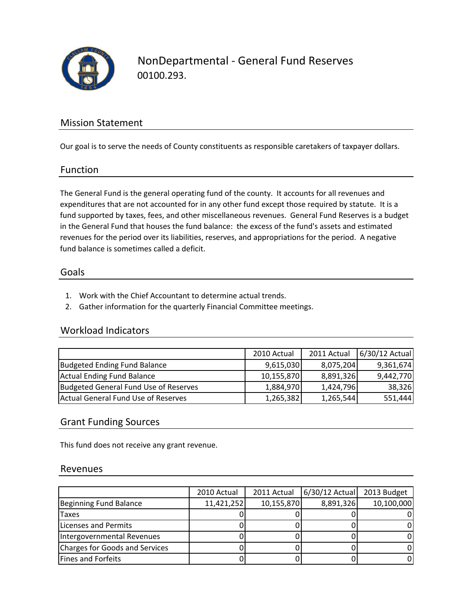

NonDepartmental ‐ General Fund Reserves 00100.293.

## Mission Statement

Our goal is to serve the needs of County constituents as responsible caretakers of taxpayer dollars.

#### Function

The General Fund is the general operating fund of the county. It accounts for all revenues and expenditures that are not accounted for in any other fund except those required by statute. It is a fund supported by taxes, fees, and other miscellaneous revenues. General Fund Reserves is a budget in the General Fund that houses the fund balance: the excess of the fund's assets and estimated revenues for the period over its liabilities, reserves, and appropriations for the period. A negative fund balance is sometimes called a deficit.

#### Goals

- 1. Work with the Chief Accountant to determine actual trends.
- 2. Gather information for the quarterly Financial Committee meetings.

## Workload Indicators

|                                       | 2010 Actual | 2011 Actual | 6/30/12 Actual |
|---------------------------------------|-------------|-------------|----------------|
| Budgeted Ending Fund Balance          | 9,615,030   | 8,075,204   | 9,361,674      |
| Actual Ending Fund Balance            | 10,155,870  | 8,891,326   | 9,442,770      |
| Budgeted General Fund Use of Reserves | 1,884,970   | 1,424,796   | 38,326         |
| Actual General Fund Use of Reserves   | 1,265,382   | 1,265,544   | 551,444        |

## Grant Funding Sources

This fund does not receive any grant revenue.

#### Revenues

|                                | 2010 Actual | 2011 Actual | $6/30/12$ Actual | 2013 Budget |
|--------------------------------|-------------|-------------|------------------|-------------|
| Beginning Fund Balance         | 11,421,252  | 10,155,870  | 8,891,326        | 10,100,000  |
| <b>Taxes</b>                   |             |             |                  |             |
| Licenses and Permits           |             |             |                  |             |
| Intergovernmental Revenues     |             |             |                  |             |
| Charges for Goods and Services |             |             |                  | 0           |
| Fines and Forfeits             |             |             |                  | 0           |